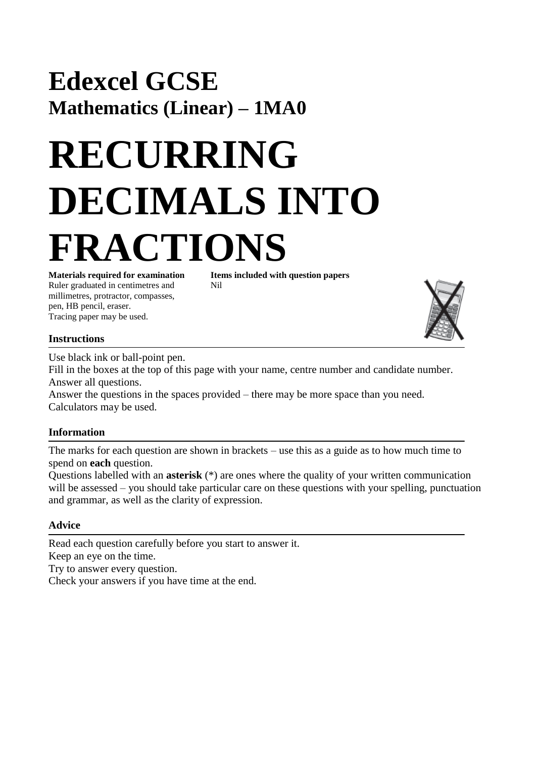# **Edexcel GCSE Mathematics (Linear) – 1MA0**

# **RECURRING DECIMALS INTO FRACTIONS**

Ruler graduated in centimetres and Nil millimetres, protractor, compasses, pen, HB pencil, eraser. Tracing paper may be used.

**Materials required for examination Items included with question papers**



## **Instructions**

Use black ink or ball-point pen.

Fill in the boxes at the top of this page with your name, centre number and candidate number. Answer all questions.

Answer the questions in the spaces provided – there may be more space than you need. Calculators may be used.

### **Information**

The marks for each question are shown in brackets – use this as a guide as to how much time to spend on **each** question.

Questions labelled with an **asterisk** (\*) are ones where the quality of your written communication will be assessed – you should take particular care on these questions with your spelling, punctuation and grammar, as well as the clarity of expression.

### **Advice**

Read each question carefully before you start to answer it. Keep an eye on the time. Try to answer every question. Check your answers if you have time at the end.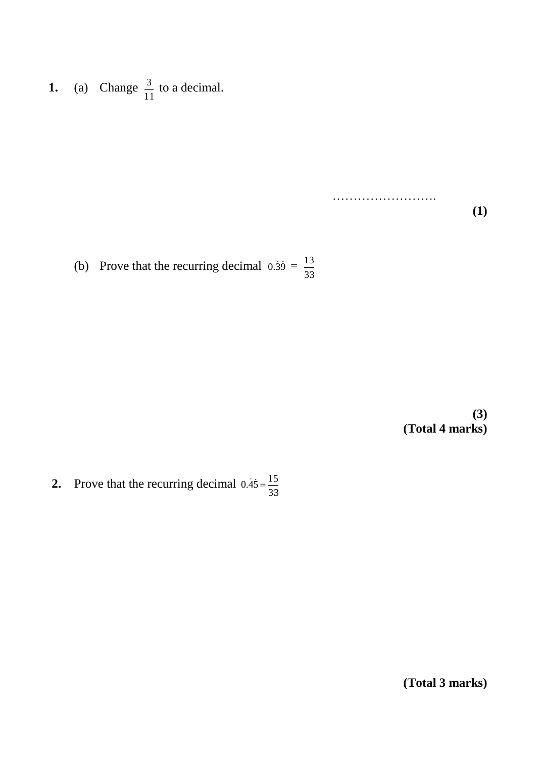**1.** (a) Change  $\frac{3}{2}$  to a decimal. 11 3

> ……………………. **(1)**

(b) Prove that the recurring decimal  $0.\overline{39} =$ 33 13

> **(3) (Total 4 marks)**

**2.** Prove that the recurring decimal 33  $0.\dot{4}\dot{5} = \frac{15}{25}$ 

**(Total 3 marks)**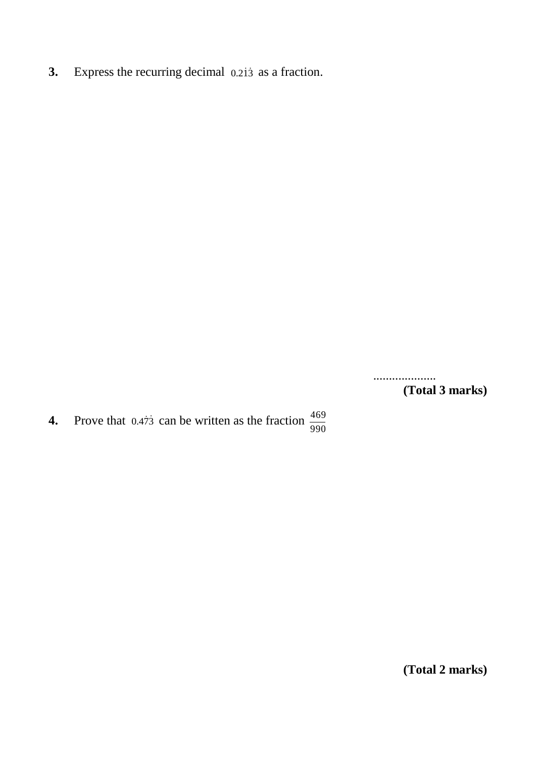**3.** Express the recurring decimal 0.213 as a fraction.

.................... **(Total 3 marks)**

**4.** Prove that 0.473 can be written as the fraction 990 469

**(Total 2 marks)**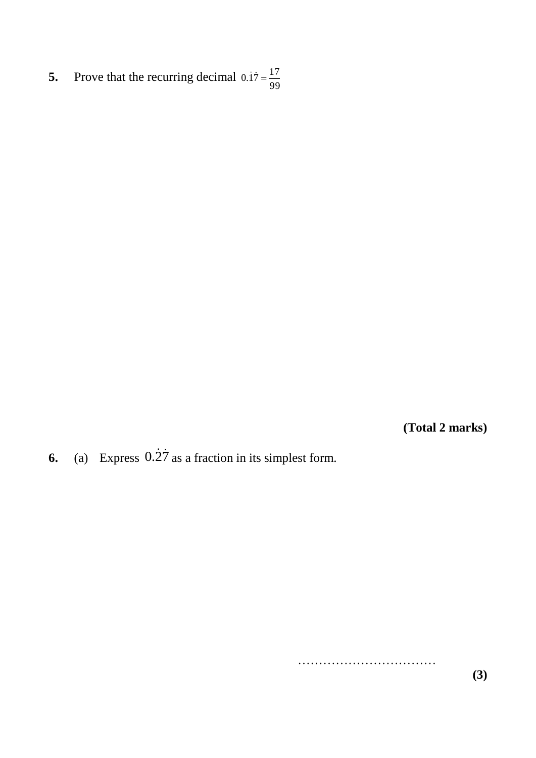**5.** Prove that the recurring decimal 99  $0.\dot{1}\dot{7} = \frac{17}{25}$ 

**(Total 2 marks)**

**6.** (a) Express  $0.\overline{27}$  as a fraction in its simplest form.

**(3)**

………………………………………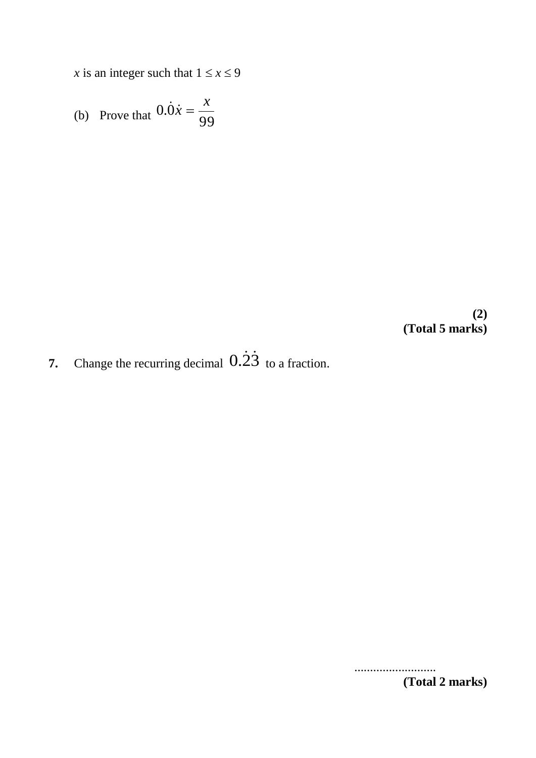*x* is an integer such that  $1 \le x \le 9$ 

(b) Prove that 
$$
0.\dot{0}\dot{x} = \frac{x}{99}
$$

**(2) (Total 5 marks)**

**7.** Change the recurring decimal  $0.\overline{23}$  to a fraction.

.......................... **(Total 2 marks)**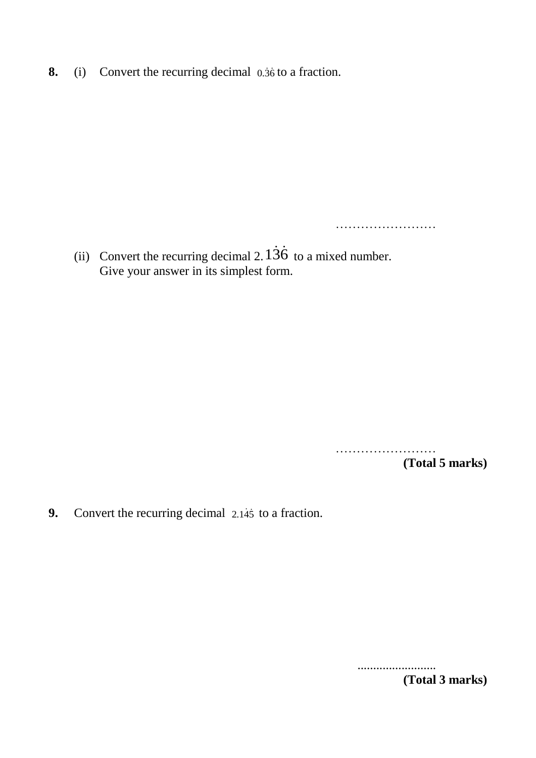**8.** (i) Convert the recurring decimal 0.36 to a fraction.

(ii) Convert the recurring decimal 2.  $136$  to a mixed number. Give your answer in its simplest form.

> …………………… **(Total 5 marks)**

……………………

**9.** Convert the recurring decimal 2.145 to a fraction.

......................... **(Total 3 marks)**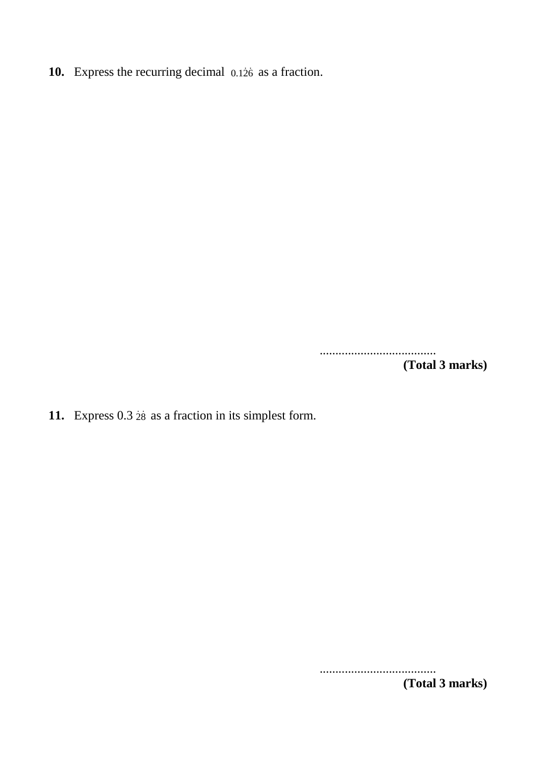10. Express the recurring decimal 0.126 as a fraction.

..................................... **(Total 3 marks)**

11. Express  $0.3$   $28$  as a fraction in its simplest form.

..................................... **(Total 3 marks)**